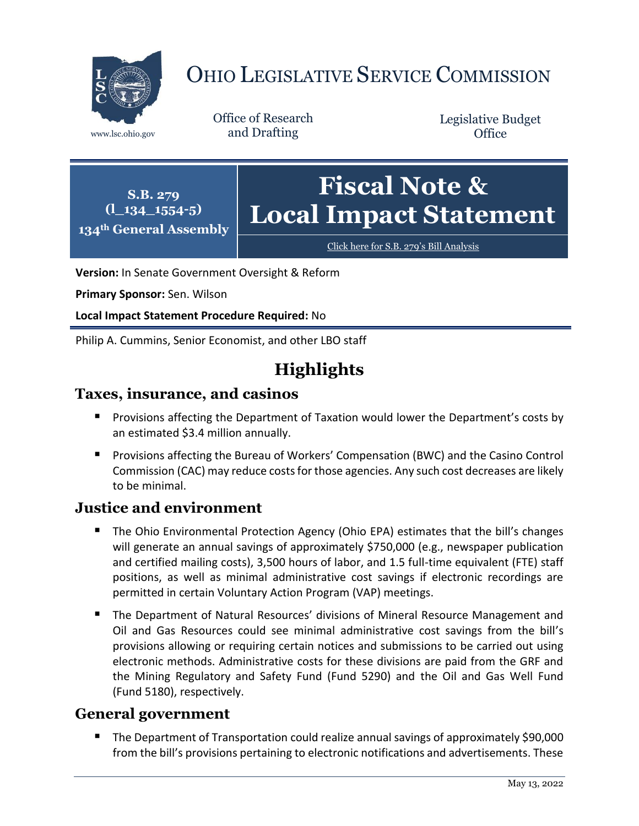

# OHIO LEGISLATIVE SERVICE COMMISSION

Office of Research www.lsc.ohio.gov and Drafting

Legislative Budget **Office** 

**S.B. 279 (l\_134\_1554-5) 134th General Assembly Fiscal Note & Local Impact Statement**

[Click here for S.B. 279](https://www.legislature.ohio.gov/legislation/legislation-documents?id=GA134-SB-279)'s Bill Analysis

**Version:** In Senate Government Oversight & Reform

**Primary Sponsor:** Sen. Wilson

**Local Impact Statement Procedure Required:** No

Philip A. Cummins, Senior Economist, and other LBO staff

# **Highlights**

#### **Taxes, insurance, and casinos**

- **Provisions affecting the Department of Taxation would lower the Department's costs by** an estimated \$3.4 million annually.
- **Provisions affecting the Bureau of Workers' Compensation (BWC) and the Casino Control** Commission (CAC) may reduce costs for those agencies. Any such cost decreases are likely to be minimal.

# **Justice and environment**

- The Ohio Environmental Protection Agency (Ohio EPA) estimates that the bill's changes will generate an annual savings of approximately \$750,000 (e.g., newspaper publication and certified mailing costs), 3,500 hours of labor, and 1.5 full-time equivalent (FTE) staff positions, as well as minimal administrative cost savings if electronic recordings are permitted in certain Voluntary Action Program (VAP) meetings.
- The Department of Natural Resources' divisions of Mineral Resource Management and Oil and Gas Resources could see minimal administrative cost savings from the bill's provisions allowing or requiring certain notices and submissions to be carried out using electronic methods. Administrative costs for these divisions are paid from the GRF and the Mining Regulatory and Safety Fund (Fund 5290) and the Oil and Gas Well Fund (Fund 5180), respectively.

# **General government**

■ The Department of Transportation could realize annual savings of approximately \$90,000 from the bill's provisions pertaining to electronic notifications and advertisements. These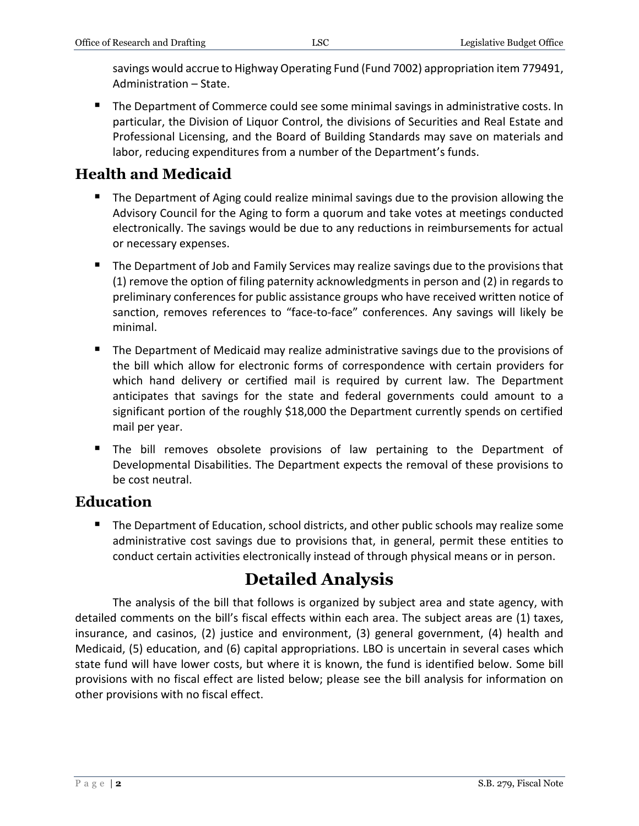savings would accrue to Highway Operating Fund (Fund 7002) appropriation item 779491, Administration – State.

 The Department of Commerce could see some minimal savings in administrative costs. In particular, the Division of Liquor Control, the divisions of Securities and Real Estate and Professional Licensing, and the Board of Building Standards may save on materials and labor, reducing expenditures from a number of the Department's funds.

# **Health and Medicaid**

- **The Department of Aging could realize minimal savings due to the provision allowing the** Advisory Council for the Aging to form a quorum and take votes at meetings conducted electronically. The savings would be due to any reductions in reimbursements for actual or necessary expenses.
- **The Department of Job and Family Services may realize savings due to the provisions that** (1) remove the option of filing paternity acknowledgments in person and (2) in regards to preliminary conferences for public assistance groups who have received written notice of sanction, removes references to "face-to-face" conferences. Any savings will likely be minimal.
- **The Department of Medicaid may realize administrative savings due to the provisions of** the bill which allow for electronic forms of correspondence with certain providers for which hand delivery or certified mail is required by current law. The Department anticipates that savings for the state and federal governments could amount to a significant portion of the roughly \$18,000 the Department currently spends on certified mail per year.
- **The bill removes obsolete provisions of law pertaining to the Department of** Developmental Disabilities. The Department expects the removal of these provisions to be cost neutral.

# **Education**

**The Department of Education, school districts, and other public schools may realize some** administrative cost savings due to provisions that, in general, permit these entities to conduct certain activities electronically instead of through physical means or in person.

# **Detailed Analysis**

The analysis of the bill that follows is organized by subject area and state agency, with detailed comments on the bill's fiscal effects within each area. The subject areas are (1) taxes, insurance, and casinos, (2) justice and environment, (3) general government, (4) health and Medicaid, (5) education, and (6) capital appropriations. LBO is uncertain in several cases which state fund will have lower costs, but where it is known, the fund is identified below. Some bill provisions with no fiscal effect are listed below; please see the bill analysis for information on other provisions with no fiscal effect.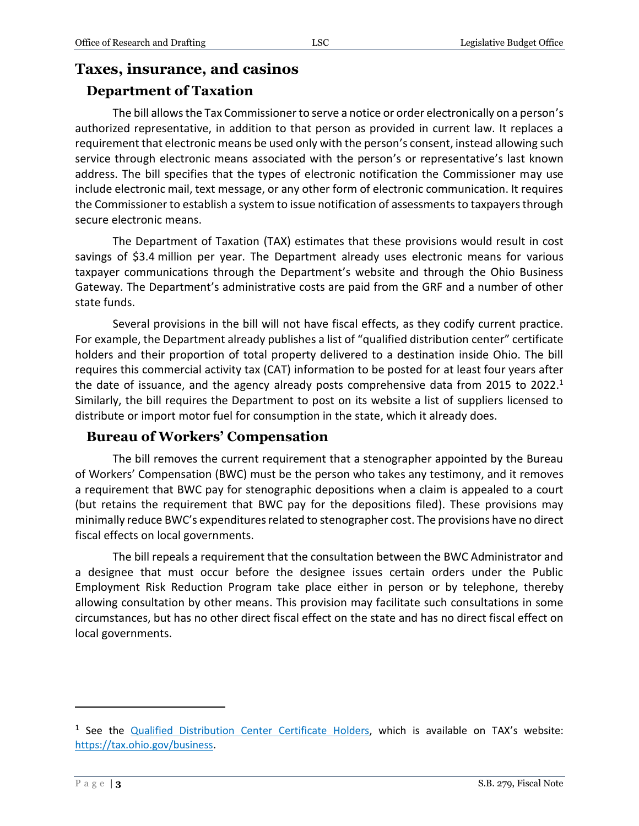#### **Taxes, insurance, and casinos**

## **Department of Taxation**

The bill allows the Tax Commissioner to serve a notice or order electronically on a person's authorized representative, in addition to that person as provided in current law. It replaces a requirement that electronic means be used only with the person's consent, instead allowing such service through electronic means associated with the person's or representative's last known address. The bill specifies that the types of electronic notification the Commissioner may use include electronic mail, text message, or any other form of electronic communication. It requires the Commissioner to establish a system to issue notification of assessments to taxpayers through secure electronic means.

The Department of Taxation (TAX) estimates that these provisions would result in cost savings of \$3.4 million per year. The Department already uses electronic means for various taxpayer communications through the Department's website and through the Ohio Business Gateway. The Department's administrative costs are paid from the GRF and a number of other state funds.

Several provisions in the bill will not have fiscal effects, as they codify current practice. For example, the Department already publishes a list of "qualified distribution center" certificate holders and their proportion of total property delivered to a destination inside Ohio. The bill requires this commercial activity tax (CAT) information to be posted for at least four years after the date of issuance, and the agency already posts comprehensive data from 2015 to 2022.<sup>1</sup> Similarly, the bill requires the Department to post on its website a list of suppliers licensed to distribute or import motor fuel for consumption in the state, which it already does.

#### **Bureau of Workers' Compensation**

The bill removes the current requirement that a stenographer appointed by the Bureau of Workers' Compensation (BWC) must be the person who takes any testimony, and it removes a requirement that BWC pay for stenographic depositions when a claim is appealed to a court (but retains the requirement that BWC pay for the depositions filed). These provisions may minimally reduce BWC's expenditures related to stenographer cost. The provisions have no direct fiscal effects on local governments.

The bill repeals a requirement that the consultation between the BWC Administrator and a designee that must occur before the designee issues certain orders under the Public Employment Risk Reduction Program take place either in person or by telephone, thereby allowing consultation by other means. This provision may facilitate such consultations in some circumstances, but has no other direct fiscal effect on the state and has no direct fiscal effect on local governments.

 $\overline{a}$ 

<sup>&</sup>lt;sup>1</sup> See the **Qualified Distribution Center Certificate Holders**, which is available on TAX's website: [https://tax.ohio.gov/business.](https://tax.ohio.gov/business)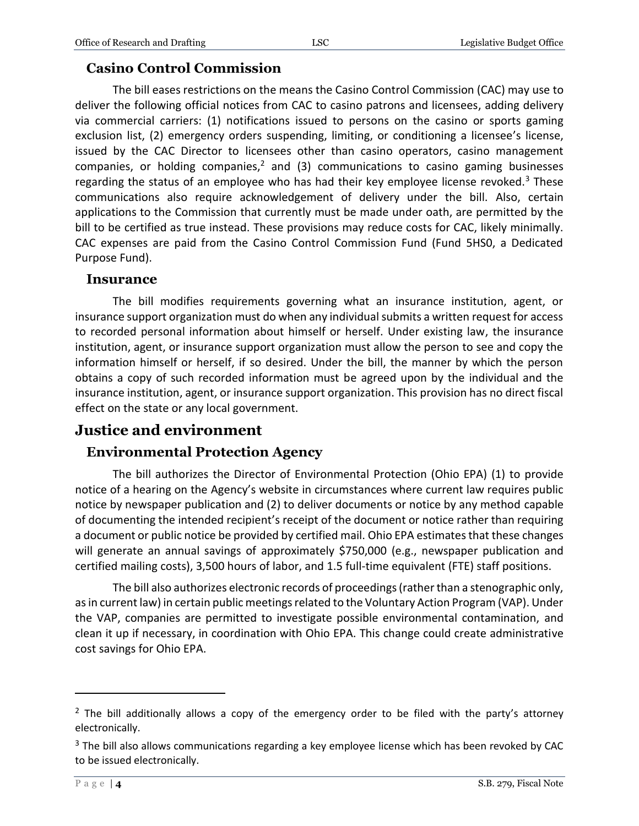## **Casino Control Commission**

The bill eases restrictions on the means the Casino Control Commission (CAC) may use to deliver the following official notices from CAC to casino patrons and licensees, adding delivery via commercial carriers: (1) notifications issued to persons on the casino or sports gaming exclusion list, (2) emergency orders suspending, limiting, or conditioning a licensee's license, issued by the CAC Director to licensees other than casino operators, casino management companies, or holding companies,<sup>2</sup> and (3) communications to casino gaming businesses regarding the status of an employee who has had their key employee license revoked. $3$  These communications also require acknowledgement of delivery under the bill. Also, certain applications to the Commission that currently must be made under oath, are permitted by the bill to be certified as true instead. These provisions may reduce costs for CAC, likely minimally. CAC expenses are paid from the Casino Control Commission Fund (Fund 5HS0, a Dedicated Purpose Fund).

#### **Insurance**

The bill modifies requirements governing what an insurance institution, agent, or insurance support organization must do when any individual submits a written request for access to recorded personal information about himself or herself. Under existing law, the insurance institution, agent, or insurance support organization must allow the person to see and copy the information himself or herself, if so desired. Under the bill, the manner by which the person obtains a copy of such recorded information must be agreed upon by the individual and the insurance institution, agent, or insurance support organization. This provision has no direct fiscal effect on the state or any local government.

# **Justice and environment**

#### **Environmental Protection Agency**

The bill authorizes the Director of Environmental Protection (Ohio EPA) (1) to provide notice of a hearing on the Agency's website in circumstances where current law requires public notice by newspaper publication and (2) to deliver documents or notice by any method capable of documenting the intended recipient's receipt of the document or notice rather than requiring a document or public notice be provided by certified mail. Ohio EPA estimates that these changes will generate an annual savings of approximately \$750,000 (e.g., newspaper publication and certified mailing costs), 3,500 hours of labor, and 1.5 full-time equivalent (FTE) staff positions.

The bill also authorizes electronic records of proceedings (rather than a stenographic only, as in current law) in certain public meetings related to the Voluntary Action Program (VAP). Under the VAP, companies are permitted to investigate possible environmental contamination, and clean it up if necessary, in coordination with Ohio EPA. This change could create administrative cost savings for Ohio EPA.

 $\overline{a}$ 

 $2$  The bill additionally allows a copy of the emergency order to be filed with the party's attorney electronically.

<sup>&</sup>lt;sup>3</sup> The bill also allows communications regarding a key employee license which has been revoked by CAC to be issued electronically.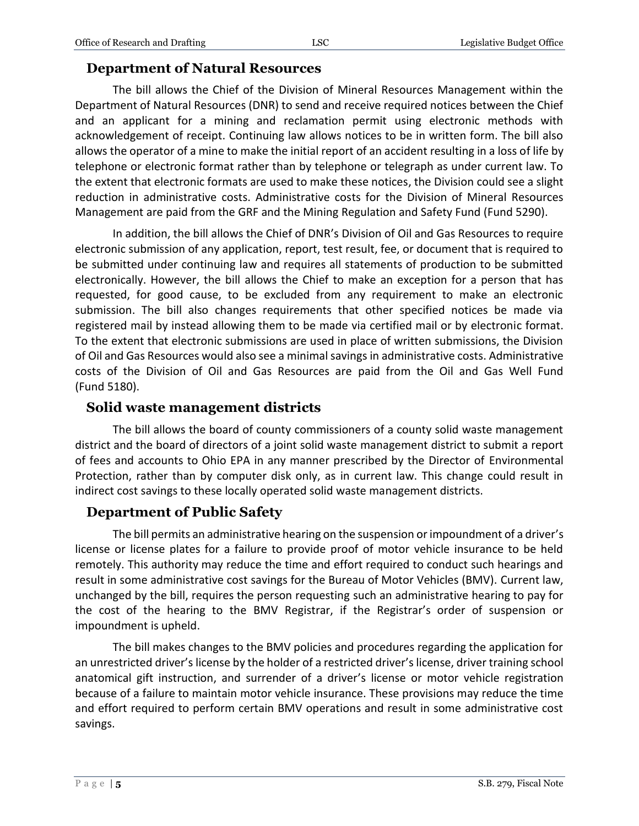#### **Department of Natural Resources**

The bill allows the Chief of the Division of Mineral Resources Management within the Department of Natural Resources (DNR) to send and receive required notices between the Chief and an applicant for a mining and reclamation permit using electronic methods with acknowledgement of receipt. Continuing law allows notices to be in written form. The bill also allows the operator of a mine to make the initial report of an accident resulting in a loss of life by telephone or electronic format rather than by telephone or telegraph as under current law. To the extent that electronic formats are used to make these notices, the Division could see a slight reduction in administrative costs. Administrative costs for the Division of Mineral Resources Management are paid from the GRF and the Mining Regulation and Safety Fund (Fund 5290).

In addition, the bill allows the Chief of DNR's Division of Oil and Gas Resources to require electronic submission of any application, report, test result, fee, or document that is required to be submitted under continuing law and requires all statements of production to be submitted electronically. However, the bill allows the Chief to make an exception for a person that has requested, for good cause, to be excluded from any requirement to make an electronic submission. The bill also changes requirements that other specified notices be made via registered mail by instead allowing them to be made via certified mail or by electronic format. To the extent that electronic submissions are used in place of written submissions, the Division of Oil and Gas Resources would also see a minimal savings in administrative costs. Administrative costs of the Division of Oil and Gas Resources are paid from the Oil and Gas Well Fund (Fund 5180).

#### **Solid waste management districts**

The bill allows the board of county commissioners of a county solid waste management district and the board of directors of a joint solid waste management district to submit a report of fees and accounts to Ohio EPA in any manner prescribed by the Director of Environmental Protection, rather than by computer disk only, as in current law. This change could result in indirect cost savings to these locally operated solid waste management districts.

#### **Department of Public Safety**

The bill permits an administrative hearing on the suspension or impoundment of a driver's license or license plates for a failure to provide proof of motor vehicle insurance to be held remotely. This authority may reduce the time and effort required to conduct such hearings and result in some administrative cost savings for the Bureau of Motor Vehicles (BMV). Current law, unchanged by the bill, requires the person requesting such an administrative hearing to pay for the cost of the hearing to the BMV Registrar, if the Registrar's order of suspension or impoundment is upheld.

The bill makes changes to the BMV policies and procedures regarding the application for an unrestricted driver's license by the holder of a restricted driver's license, driver training school anatomical gift instruction, and surrender of a driver's license or motor vehicle registration because of a failure to maintain motor vehicle insurance. These provisions may reduce the time and effort required to perform certain BMV operations and result in some administrative cost savings.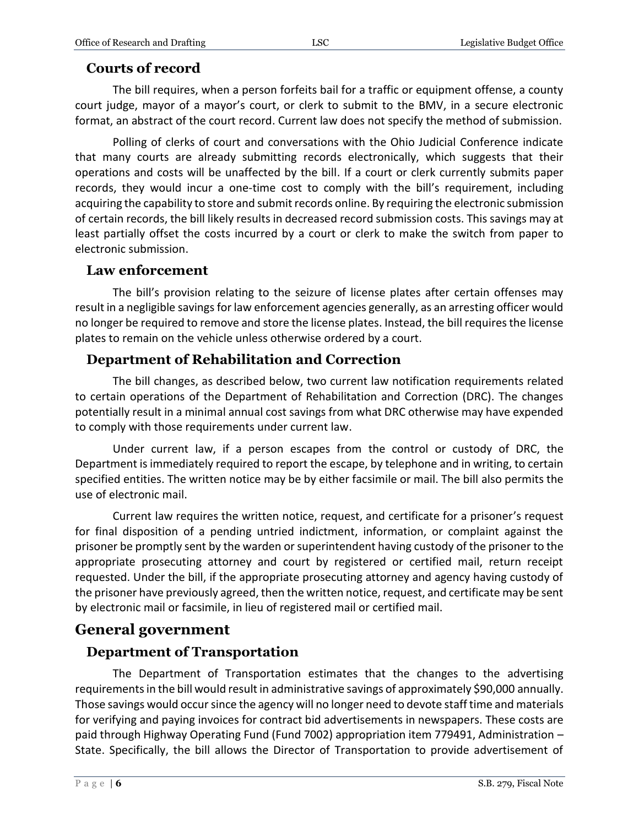# **Courts of record**

The bill requires, when a person forfeits bail for a traffic or equipment offense, a county court judge, mayor of a mayor's court, or clerk to submit to the BMV, in a secure electronic format, an abstract of the court record. Current law does not specify the method of submission.

Polling of clerks of court and conversations with the Ohio Judicial Conference indicate that many courts are already submitting records electronically, which suggests that their operations and costs will be unaffected by the bill. If a court or clerk currently submits paper records, they would incur a one-time cost to comply with the bill's requirement, including acquiring the capability to store and submit records online. By requiring the electronic submission of certain records, the bill likely results in decreased record submission costs. This savings may at least partially offset the costs incurred by a court or clerk to make the switch from paper to electronic submission.

#### **Law enforcement**

The bill's provision relating to the seizure of license plates after certain offenses may result in a negligible savings for law enforcement agencies generally, as an arresting officer would no longer be required to remove and store the license plates. Instead, the bill requires the license plates to remain on the vehicle unless otherwise ordered by a court.

# **Department of Rehabilitation and Correction**

The bill changes, as described below, two current law notification requirements related to certain operations of the Department of Rehabilitation and Correction (DRC). The changes potentially result in a minimal annual cost savings from what DRC otherwise may have expended to comply with those requirements under current law.

Under current law, if a person escapes from the control or custody of DRC, the Department is immediately required to report the escape, by telephone and in writing, to certain specified entities. The written notice may be by either facsimile or mail. The bill also permits the use of electronic mail.

Current law requires the written notice, request, and certificate for a prisoner's request for final disposition of a pending untried indictment, information, or complaint against the prisoner be promptly sent by the warden or superintendent having custody of the prisoner to the appropriate prosecuting attorney and court by registered or certified mail, return receipt requested. Under the bill, if the appropriate prosecuting attorney and agency having custody of the prisoner have previously agreed, then the written notice, request, and certificate may be sent by electronic mail or facsimile, in lieu of registered mail or certified mail.

# **General government**

# **Department of Transportation**

The Department of Transportation estimates that the changes to the advertising requirements in the bill would result in administrative savings of approximately \$90,000 annually. Those savings would occur since the agency will no longer need to devote staff time and materials for verifying and paying invoices for contract bid advertisements in newspapers. These costs are paid through Highway Operating Fund (Fund 7002) appropriation item 779491, Administration -State. Specifically, the bill allows the Director of Transportation to provide advertisement of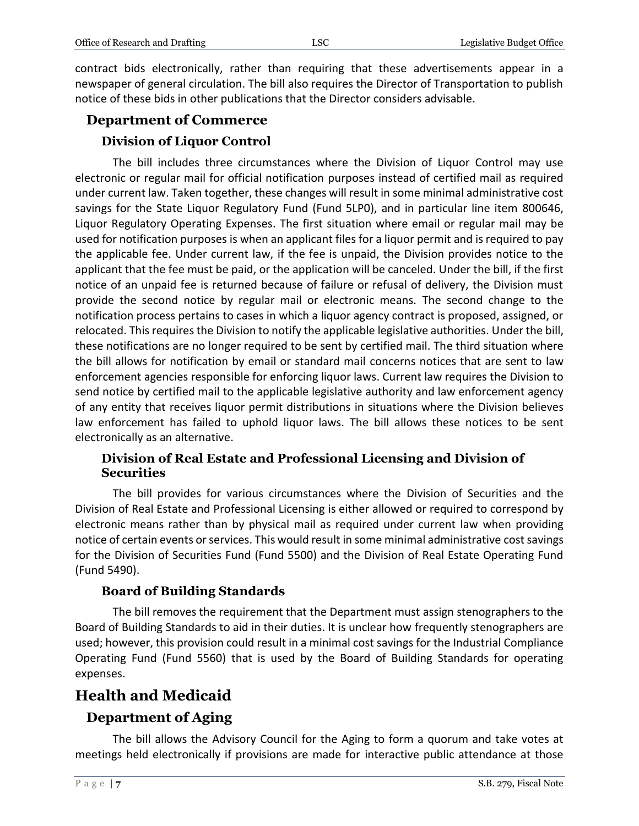contract bids electronically, rather than requiring that these advertisements appear in a newspaper of general circulation. The bill also requires the Director of Transportation to publish notice of these bids in other publications that the Director considers advisable.

# **Department of Commerce Division of Liquor Control**

The bill includes three circumstances where the Division of Liquor Control may use electronic or regular mail for official notification purposes instead of certified mail as required under current law. Taken together, these changes will result in some minimal administrative cost savings for the State Liquor Regulatory Fund (Fund 5LP0), and in particular line item 800646, Liquor Regulatory Operating Expenses. The first situation where email or regular mail may be used for notification purposes is when an applicant files for a liquor permit and is required to pay the applicable fee. Under current law, if the fee is unpaid, the Division provides notice to the applicant that the fee must be paid, or the application will be canceled. Under the bill, if the first notice of an unpaid fee is returned because of failure or refusal of delivery, the Division must provide the second notice by regular mail or electronic means. The second change to the notification process pertains to cases in which a liquor agency contract is proposed, assigned, or relocated. This requires the Division to notify the applicable legislative authorities. Under the bill, these notifications are no longer required to be sent by certified mail. The third situation where the bill allows for notification by email or standard mail concerns notices that are sent to law enforcement agencies responsible for enforcing liquor laws. Current law requires the Division to send notice by certified mail to the applicable legislative authority and law enforcement agency of any entity that receives liquor permit distributions in situations where the Division believes law enforcement has failed to uphold liquor laws. The bill allows these notices to be sent electronically as an alternative.

#### **Division of Real Estate and Professional Licensing and Division of Securities**

The bill provides for various circumstances where the Division of Securities and the Division of Real Estate and Professional Licensing is either allowed or required to correspond by electronic means rather than by physical mail as required under current law when providing notice of certain events or services. This would result in some minimal administrative cost savings for the Division of Securities Fund (Fund 5500) and the Division of Real Estate Operating Fund (Fund 5490).

#### **Board of Building Standards**

The bill removes the requirement that the Department must assign stenographers to the Board of Building Standards to aid in their duties. It is unclear how frequently stenographers are used; however, this provision could result in a minimal cost savings for the Industrial Compliance Operating Fund (Fund 5560) that is used by the Board of Building Standards for operating expenses.

# **Health and Medicaid**

# **Department of Aging**

The bill allows the Advisory Council for the Aging to form a quorum and take votes at meetings held electronically if provisions are made for interactive public attendance at those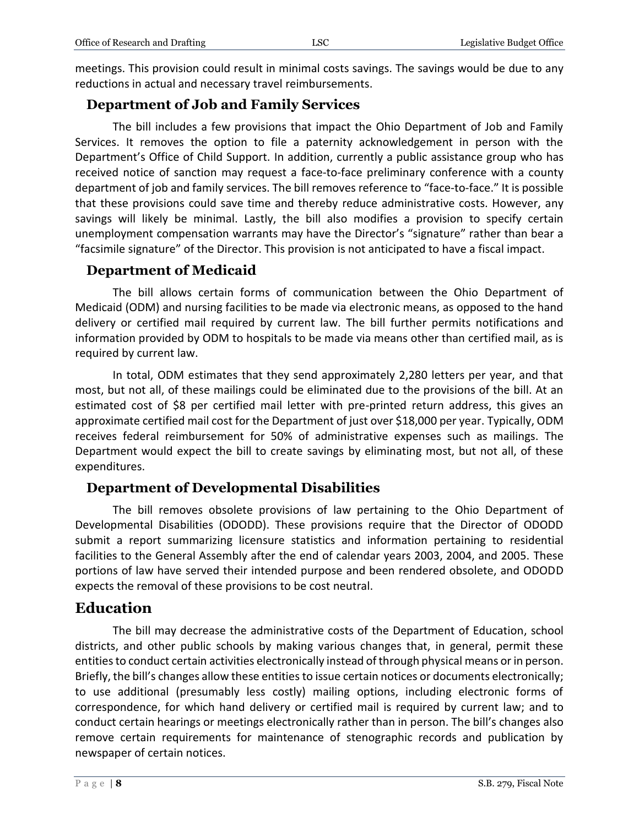meetings. This provision could result in minimal costs savings. The savings would be due to any reductions in actual and necessary travel reimbursements.

#### **Department of Job and Family Services**

The bill includes a few provisions that impact the Ohio Department of Job and Family Services. It removes the option to file a paternity acknowledgement in person with the Department's Office of Child Support. In addition, currently a public assistance group who has received notice of sanction may request a face-to-face preliminary conference with a county department of job and family services. The bill removes reference to "face-to-face." It is possible that these provisions could save time and thereby reduce administrative costs. However, any savings will likely be minimal. Lastly, the bill also modifies a provision to specify certain unemployment compensation warrants may have the Director's "signature" rather than bear a "facsimile signature" of the Director. This provision is not anticipated to have a fiscal impact.

#### **Department of Medicaid**

The bill allows certain forms of communication between the Ohio Department of Medicaid (ODM) and nursing facilities to be made via electronic means, as opposed to the hand delivery or certified mail required by current law. The bill further permits notifications and information provided by ODM to hospitals to be made via means other than certified mail, as is required by current law.

In total, ODM estimates that they send approximately 2,280 letters per year, and that most, but not all, of these mailings could be eliminated due to the provisions of the bill. At an estimated cost of \$8 per certified mail letter with pre-printed return address, this gives an approximate certified mail cost for the Department of just over \$18,000 per year. Typically, ODM receives federal reimbursement for 50% of administrative expenses such as mailings. The Department would expect the bill to create savings by eliminating most, but not all, of these expenditures.

#### **Department of Developmental Disabilities**

The bill removes obsolete provisions of law pertaining to the Ohio Department of Developmental Disabilities (ODODD). These provisions require that the Director of ODODD submit a report summarizing licensure statistics and information pertaining to residential facilities to the General Assembly after the end of calendar years 2003, 2004, and 2005. These portions of law have served their intended purpose and been rendered obsolete, and ODODD expects the removal of these provisions to be cost neutral.

# **Education**

The bill may decrease the administrative costs of the Department of Education, school districts, and other public schools by making various changes that, in general, permit these entities to conduct certain activities electronically instead of through physical means or in person. Briefly, the bill's changes allow these entities to issue certain notices or documents electronically; to use additional (presumably less costly) mailing options, including electronic forms of correspondence, for which hand delivery or certified mail is required by current law; and to conduct certain hearings or meetings electronically rather than in person. The bill's changes also remove certain requirements for maintenance of stenographic records and publication by newspaper of certain notices.